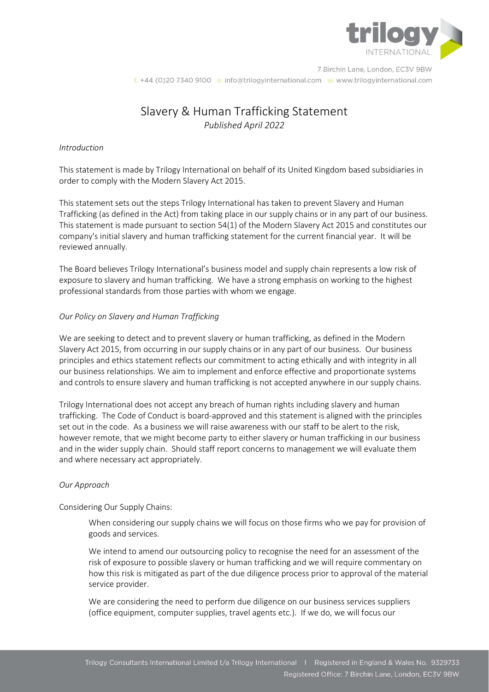

7 Birchin Lane, London, EC3V 9BW t. +44 (0)20 7340 9100 e. info@trilogyinternational.com w. www.trilogyinternational.com

# Slavery & Human Trafficking Statement Published April 2022

### Introduction

This statement is made by Trilogy International on behalf of its United Kingdom based subsidiaries in order to comply with the Modern Slavery Act 2015.

This statement sets out the steps Trilogy International has taken to prevent Slavery and Human Trafficking (as defined in the Act) from taking place in our supply chains or in any part of our business. This statement is made pursuant to section 54(1) of the Modern Slavery Act 2015 and constitutes our company's initial slavery and human trafficking statement for the current financial year. It will be reviewed annually.

The Board believes Trilogy International's business model and supply chain represents a low risk of exposure to slavery and human trafficking. We have a strong emphasis on working to the highest professional standards from those parties with whom we engage.

#### Our Policy on Slavery and Human Trafficking

We are seeking to detect and to prevent slavery or human trafficking, as defined in the Modern Slavery Act 2015, from occurring in our supply chains or in any part of our business. Our business principles and ethics statement reflects our commitment to acting ethically and with integrity in all our business relationships. We aim to implement and enforce effective and proportionate systems and controls to ensure slavery and human trafficking is not accepted anywhere in our supply chains.

Trilogy International does not accept any breach of human rights including slavery and human trafficking. The Code of Conduct is board-approved and this statement is aligned with the principles set out in the code. As a business we will raise awareness with our staff to be alert to the risk, however remote, that we might become party to either slavery or human trafficking in our business and in the wider supply chain. Should staff report concerns to management we will evaluate them and where necessary act appropriately.

# Our Approach

Considering Our Supply Chains:

When considering our supply chains we will focus on those firms who we pay for provision of goods and services.

We intend to amend our outsourcing policy to recognise the need for an assessment of the risk of exposure to possible slavery or human trafficking and we will require commentary on how this risk is mitigated as part of the due diligence process prior to approval of the material service provider.

We are considering the need to perform due diligence on our business services suppliers (office equipment, computer supplies, travel agents etc.). If we do, we will focus our